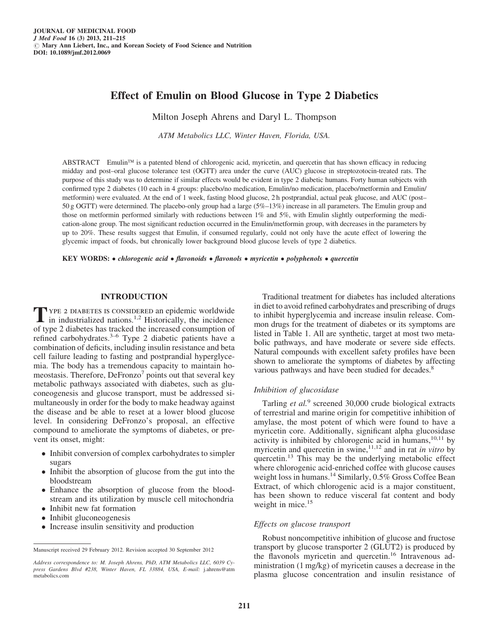# Effect of Emulin on Blood Glucose in Type 2 Diabetics

Milton Joseph Ahrens and Daryl L. Thompson

ATM Metabolics LLC, Winter Haven, Florida, USA.

ABSTRACT Emulin<sup>™</sup> is a patented blend of chlorogenic acid, myricetin, and quercetin that has shown efficacy in reducing midday and post–oral glucose tolerance test (OGTT) area under the curve (AUC) glucose in streptozotocin-treated rats. The purpose of this study was to determine if similar effects would be evident in type 2 diabetic humans. Forty human subjects with confirmed type 2 diabetes (10 each in 4 groups: placebo/no medication, Emulin/no medication, placebo/metformin and Emulin/ metformin) were evaluated. At the end of 1 week, fasting blood glucose, 2 h postprandial, actual peak glucose, and AUC (post– 50 g OGTT) were determined. The placebo-only group had a large (5%–13%) increase in all parameters. The Emulin group and those on metformin performed similarly with reductions between 1% and 5%, with Emulin slightly outperforming the medication-alone group. The most significant reduction occurred in the Emulin/metformin group, with decreases in the parameters by up to 20%. These results suggest that Emulin, if consumed regularly, could not only have the acute effect of lowering the glycemic impact of foods, but chronically lower background blood glucose levels of type 2 diabetics.

KEY WORDS: • chlorogenic acid • flavonoids • flavonols • myricetin • polyphenols • quercetin

## INTRODUCTION

TYPE 2 DIABETES IS CONSIDERED an epidemic worldwide<br>in industrialized nations.<sup>1,2</sup> Historically, the incidence of type 2 diabetes has tracked the increased consumption of refined carbohydrates.3–6 Type 2 diabetic patients have a combination of deficits, including insulin resistance and beta cell failure leading to fasting and postprandial hyperglycemia. The body has a tremendous capacity to maintain homeostasis. Therefore,  $DeFronzo<sup>7</sup>$  points out that several key metabolic pathways associated with diabetes, such as gluconeogenesis and glucose transport, must be addressed simultaneously in order for the body to make headway against the disease and be able to reset at a lower blood glucose level. In considering DeFronzo's proposal, an effective compound to ameliorate the symptoms of diabetes, or prevent its onset, might:

- Inhibit conversion of complex carbohydrates to simpler sugars
- Inhibit the absorption of glucose from the gut into the bloodstream
- Enhance the absorption of glucose from the bloodstream and its utilization by muscle cell mitochondria
- Inhibit new fat formation
- Inhibit gluconeogenesis
- Increase insulin sensitivity and production

Traditional treatment for diabetes has included alterations in diet to avoid refined carbohydrates and prescribing of drugs to inhibit hyperglycemia and increase insulin release. Common drugs for the treatment of diabetes or its symptoms are listed in Table 1. All are synthetic, target at most two metabolic pathways, and have moderate or severe side effects. Natural compounds with excellent safety profiles have been shown to ameliorate the symptoms of diabetes by affecting various pathways and have been studied for decades.<sup>8</sup>

#### Inhibition of glucosidase

Tarling et  $al$ .<sup>9</sup> screened 30,000 crude biological extracts of terrestrial and marine origin for competitive inhibition of amylase, the most potent of which were found to have a myricetin core. Additionally, significant alpha glucosidase activity is inhibited by chlorogenic acid in humans, $10,11$  by myricetin and quercetin in swine,  $11,12$  and in rat *in vitro* by quercetin.<sup>13</sup> This may be the underlying metabolic effect where chlorogenic acid-enriched coffee with glucose causes weight loss in humans.<sup>14</sup> Similarly, 0.5% Gross Coffee Bean Extract, of which chlorogenic acid is a major constituent, has been shown to reduce visceral fat content and body weight in mice.<sup>15</sup>

#### Effects on glucose transport

Robust noncompetitive inhibition of glucose and fructose transport by glucose transporter 2 (GLUT2) is produced by the flavonols myricetin and quercetin.<sup>16</sup> Intravenous administration (1 mg/kg) of myricetin causes a decrease in the plasma glucose concentration and insulin resistance of

Manuscript received 29 February 2012. Revision accepted 30 September 2012

Address correspondence to: M. Joseph Ahrens, PhD, ATM Metabolics LLC, 6039 Cypress Gardens Blvd #238, Winter Haven, FL 33884, USA, E-mail: j.ahrens@atm metabolics.com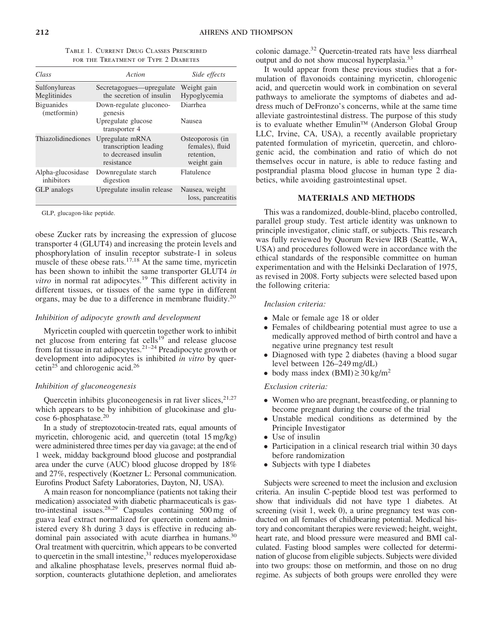| TABLE 1. CURRENT DRUG CLASSES PRESCRIBED |
|------------------------------------------|
| FOR THE TREATMENT OF TYPE 2 DIABETES     |

| Class                            | Action                                                                         | Side effects                                                     |
|----------------------------------|--------------------------------------------------------------------------------|------------------------------------------------------------------|
| Sulfonylureas<br>Meglitinides    | Secretagogues—upregulate<br>the secretion of insulin                           | Weight gain<br>Hypoglycemia                                      |
| <b>Biguanides</b><br>(metformin) | Down-regulate gluconeo-<br>genesis<br>Upregulate glucose<br>transporter 4      | Diarrhea<br><b>Nausea</b>                                        |
| Thiazolidinediones               | Upregulate mRNA<br>transcription leading<br>to decreased insulin<br>resistance | Osteoporosis (in<br>females), fluid<br>retention,<br>weight gain |
| Alpha-glucosidase<br>inhibitors  | Downregulate starch<br>digestion                                               | Flatulence                                                       |
| GLP analogs                      | Upregulate insulin release                                                     | Nausea, weight<br>loss, pancreatitis                             |

GLP, glucagon-like peptide.

obese Zucker rats by increasing the expression of glucose transporter 4 (GLUT4) and increasing the protein levels and phosphorylation of insulin receptor substrate-1 in soleus muscle of these obese rats.<sup>17,18</sup> At the same time, myricetin has been shown to inhibit the same transporter GLUT4 in *vitro* in normal rat adipocytes.<sup>19</sup> This different activity in different tissues, or tissues of the same type in different organs, may be due to a difference in membrane fluidity.20

## Inhibition of adipocyte growth and development

Myricetin coupled with quercetin together work to inhibit net glucose from entering fat cells<sup>19</sup> and release glucose from fat tissue in rat adipocytes.<sup>21–24</sup> Preadipocyte growth or development into adipocytes is inhibited in vitro by quercetin<sup>25</sup> and chlorogenic acid.<sup>26</sup>

#### Inhibition of gluconeogenesis

Quercetin inhibits gluconeogenesis in rat liver slices,  $2^{1,27}$ which appears to be by inhibition of glucokinase and glucose 6-phosphatase.<sup>20</sup>

In a study of streptozotocin-treated rats, equal amounts of myricetin, chlorogenic acid, and quercetin (total 15 mg/kg) were administered three times per day via gavage; at the end of 1 week, midday background blood glucose and postprandial area under the curve (AUC) blood glucose dropped by 18% and 27%, respectively (Koetzner L: Personal communication. Eurofins Product Safety Laboratories, Dayton, NJ, USA).

A main reason for noncompliance (patients not taking their medication) associated with diabetic pharmaceuticals is gastro-intestinal issues.<sup>28,29</sup> Capsules containing  $500 \text{ mg}$  of guava leaf extract normalized for quercetin content administered every 8 h during 3 days is effective in reducing abdominal pain associated with acute diarrhea in humans.<sup>30</sup> Oral treatment with quercitrin, which appears to be converted to quercetin in the small intestine, $31$  reduces myeloperoxidase and alkaline phosphatase levels, preserves normal fluid absorption, counteracts glutathione depletion, and ameliorates

colonic damage.32 Quercetin-treated rats have less diarrheal output and do not show mucosal hyperplasia.<sup>33</sup>

It would appear from these previous studies that a formulation of flavonoids containing myricetin, chlorogenic acid, and quercetin would work in combination on several pathways to ameliorate the symptoms of diabetes and address much of DeFronzo's concerns, while at the same time alleviate gastrointestinal distress. The purpose of this study is to evaluate whether Emulin™ (Anderson Global Group LLC, Irvine, CA, USA), a recently available proprietary patented formulation of myricetin, quercetin, and chlorogenic acid, the combination and ratio of which do not themselves occur in nature, is able to reduce fasting and postprandial plasma blood glucose in human type 2 diabetics, while avoiding gastrointestinal upset.

## MATERIALS AND METHODS

This was a randomized, double-blind, placebo controlled, parallel group study. Test article identity was unknown to principle investigator, clinic staff, or subjects. This research was fully reviewed by Quorum Review IRB (Seattle, WA, USA) and procedures followed were in accordance with the ethical standards of the responsible committee on human experimentation and with the Helsinki Declaration of 1975, as revised in 2008. Forty subjects were selected based upon the following criteria:

#### Inclusion criteria:

- Male or female age 18 or older
- Females of childbearing potential must agree to use a medically approved method of birth control and have a negative urine pregnancy test result
- Diagnosed with type 2 diabetes (having a blood sugar level between 126–249 mg/dL)
- $\bullet$  body mass index (BMI)  $\geq$  30 kg/m<sup>2</sup>

#### Exclusion criteria:

- Women who are pregnant, breastfeeding, or planning to become pregnant during the course of the trial
- Unstable medical conditions as determined by the Principle Investigator
- Use of insulin
- Participation in a clinical research trial within 30 days before randomization
- Subjects with type I diabetes

Subjects were screened to meet the inclusion and exclusion criteria. An insulin C-peptide blood test was performed to show that individuals did not have type 1 diabetes. At screening (visit 1, week 0), a urine pregnancy test was conducted on all females of childbearing potential. Medical history and concomitant therapies were reviewed; height, weight, heart rate, and blood pressure were measured and BMI calculated. Fasting blood samples were collected for determination of glucose from eligible subjects. Subjects were divided into two groups: those on metformin, and those on no drug regime. As subjects of both groups were enrolled they were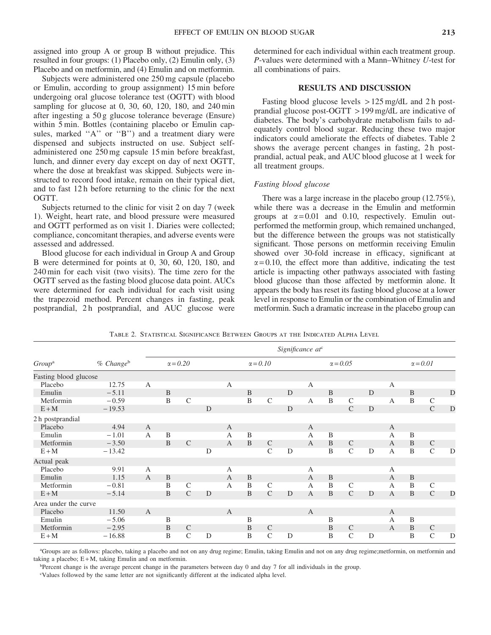assigned into group A or group B without prejudice. This resulted in four groups: (1) Placebo only, (2) Emulin only, (3) Placebo and on metformin, and (4) Emulin and on metformin.

Subjects were administered one 250 mg capsule (placebo or Emulin, according to group assignment) 15 min before undergoing oral glucose tolerance test (OGTT) with blood sampling for glucose at 0, 30, 60, 120, 180, and 240 min after ingesting a 50 g glucose tolerance beverage (Ensure) within 5 min. Bottles (containing placebo or Emulin capsules, marked "A" or "B") and a treatment diary were dispensed and subjects instructed on use. Subject selfadministered one 250 mg capsule 15 min before breakfast, lunch, and dinner every day except on day of next OGTT, where the dose at breakfast was skipped. Subjects were instructed to record food intake, remain on their typical diet, and to fast 12 h before returning to the clinic for the next OGTT.

Subjects returned to the clinic for visit 2 on day 7 (week 1). Weight, heart rate, and blood pressure were measured and OGTT performed as on visit 1. Diaries were collected; compliance, concomitant therapies, and adverse events were assessed and addressed.

Blood glucose for each individual in Group A and Group B were determined for points at 0, 30, 60, 120, 180, and 240 min for each visit (two visits). The time zero for the OGTT served as the fasting blood glucose data point. AUCs were determined for each individual for each visit using the trapezoid method. Percent changes in fasting, peak postprandial, 2h postprandial, and AUC glucose were determined for each individual within each treatment group. P-values were determined with a Mann–Whitney U-test for all combinations of pairs.

## RESULTS AND DISCUSSION

Fasting blood glucose levels > 125 mg/dL and 2 h postprandial glucose post-OGTT > 199 mg/dL are indicative of diabetes. The body's carbohydrate metabolism fails to adequately control blood sugar. Reducing these two major indicators could ameliorate the effects of diabetes. Table 2 shows the average percent changes in fasting, 2 h postprandial, actual peak, and AUC blood glucose at 1 week for all treatment groups.

#### Fasting blood glucose

There was a large increase in the placebo group (12.75%), while there was a decrease in the Emulin and metformin groups at  $\alpha = 0.01$  and 0.10, respectively. Emulin outperformed the metformin group, which remained unchanged, but the difference between the groups was not statistically significant. Those persons on metformin receiving Emulin showed over 30-fold increase in efficacy, significant at  $\alpha$  = 0.10, the effect more than additive, indicating the test article is impacting other pathways associated with fasting blood glucose than those affected by metformin alone. It appears the body has reset its fasting blood glucose at a lower level in response to Emulin or the combination of Emulin and metformin. Such a dramatic increase in the placebo group can

|                       |                       |                | Significance at <sup>c</sup> |                 |   |              |                |                 |   |              |                |                 |   |                |                |                 |   |
|-----------------------|-----------------------|----------------|------------------------------|-----------------|---|--------------|----------------|-----------------|---|--------------|----------------|-----------------|---|----------------|----------------|-----------------|---|
| Group <sup>a</sup>    | % Change <sup>b</sup> |                |                              | $\alpha = 0.20$ |   |              |                | $\alpha = 0.10$ |   |              |                | $\alpha = 0.05$ |   |                |                | $\alpha = 0.01$ |   |
| Fasting blood glucose |                       |                |                              |                 |   |              |                |                 |   |              |                |                 |   |                |                |                 |   |
| Placebo               | 12.75                 | $\mathbf{A}$   |                              |                 |   | $\mathbf{A}$ |                |                 |   | A            |                |                 |   | $\mathbf{A}$   |                |                 |   |
| Emulin                | $-5.11$               |                | B                            |                 |   |              | $\mathbf B$    |                 | D |              | B              |                 | D |                | B              |                 | D |
| Metformin             | $-0.59$               |                | $\mathbf B$                  | $\mathcal{C}$   |   |              | $\overline{B}$ | $\mathsf{C}$    |   | $\mathbf{A}$ | $\overline{B}$ | $\mathsf{C}$    |   | A              | $\mathbf{B}$   | $\mathsf{C}$    |   |
| $E+M$                 | $-19.53$              |                |                              |                 | D |              |                |                 | D |              |                | $\mathcal{C}$   | D |                |                | $\mathsf C$     | D |
| 2 h postprandial      |                       |                |                              |                 |   |              |                |                 |   |              |                |                 |   |                |                |                 |   |
| Placebo               | 4.94                  | $\mathbf{A}$   |                              |                 |   | $\mathbf{A}$ |                |                 |   | $\mathbf{A}$ |                |                 |   | $\mathbf{A}$   |                |                 |   |
| Emulin                | $-1.01$               | $\mathbf{A}$   | B                            |                 |   | $\mathbf{A}$ | B              |                 |   | A            | B              |                 |   | А              | B              |                 |   |
| Metformin             | $-3.50$               |                | B                            | $\mathcal{C}$   |   | $\mathbf{A}$ | $\mathbf{B}$   | $\mathcal{C}$   |   | $\mathbf{A}$ | B              | $\mathcal{C}$   |   | $\overline{A}$ | B              | $\mathcal{C}$   |   |
| $E+M$                 | $-13.42$              |                |                              |                 | D |              |                | $\mathcal{C}$   | D |              | $\overline{B}$ | $\mathcal{C}$   | D | $\overline{A}$ | $\overline{B}$ | $\mathcal{C}$   | D |
| Actual peak           |                       |                |                              |                 |   |              |                |                 |   |              |                |                 |   |                |                |                 |   |
| Placebo               | 9.91                  | $\mathbf{A}$   |                              |                 |   | A            |                |                 |   | A            |                |                 |   | A              |                |                 |   |
| Emulin                | 1.15                  | $\overline{A}$ | B                            |                 |   | $\mathbf{A}$ | $\, {\bf B}$   |                 |   | $\mathbf{A}$ | B              |                 |   | $\mathbf{A}$   | B              |                 |   |
| Metformin             | $-0.81$               |                | B                            | $\mathcal{C}$   |   | $\mathbf{A}$ | $\, {\bf B}$   | $\mathcal{C}$   |   | A            | B              | $\mathsf{C}$    |   | A              | B              | $\mathsf{C}$    |   |
| $E+M$                 | $-5.14$               |                | B                            | $\mathcal{C}$   | D |              | B              | $\mathcal{C}$   | D | A            | B              | $\mathcal{C}$   | D | A              | B              | $\mathsf C$     | D |
| Area under the curve  |                       |                |                              |                 |   |              |                |                 |   |              |                |                 |   |                |                |                 |   |
| Placebo               | 11.50                 | $\mathbf{A}$   |                              |                 |   | $\mathbf{A}$ |                |                 |   | $\mathbf{A}$ |                |                 |   | $\mathbf{A}$   |                |                 |   |
| Emulin                | $-5.06$               |                | B                            |                 |   |              | B              |                 |   |              | $\mathbf B$    |                 |   | $\mathbf{A}$   | B              |                 |   |
| Metformin             | $-2.95$               |                | B                            | $\mathcal{C}$   |   |              | $\mathbf{B}$   | $\mathcal{C}$   |   |              | B              | $\mathcal{C}$   |   | $\mathbf{A}$   | B              | $\mathcal{C}$   |   |
| $E+M$                 | $-16.88$              |                | B                            | $\mathsf{C}$    | D |              | $\, {\bf B}$   | $\mathcal{C}$   | D |              | $\mathbf B$    | $\mathsf{C}$    | D |                | B              | $\mathsf{C}$    | D |

Table 2. Statistical Significance Between Groups at the Indicated Alpha Level

a Groups are as follows: placebo, taking a placebo and not on any drug regime; Emulin, taking Emulin and not on any drug regime;metformin, on metformin and taking a placebo;  $E + M$ , taking Emulin and on metformin.

b Percent change is the average percent change in the parameters between day 0 and day 7 for all individuals in the group.

c Values followed by the same letter are not significantly different at the indicated alpha level.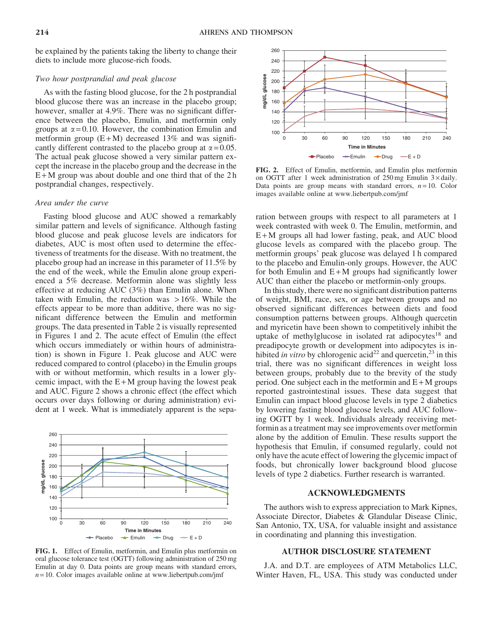be explained by the patients taking the liberty to change their diets to include more glucose-rich foods.

## Two hour postprandial and peak glucose

As with the fasting blood glucose, for the 2 h postprandial blood glucose there was an increase in the placebo group; however, smaller at 4.9%. There was no significant difference between the placebo, Emulin, and metformin only groups at  $\alpha = 0.10$ . However, the combination Emulin and metformin group  $(E+M)$  decreased 13% and was significantly different contrasted to the placebo group at  $\alpha = 0.05$ . The actual peak glucose showed a very similar pattern except the increase in the placebo group and the decrease in the  $E+M$  group was about double and one third that of the 2h postprandial changes, respectively.

#### Area under the curve

Fasting blood glucose and AUC showed a remarkably similar pattern and levels of significance. Although fasting blood glucose and peak glucose levels are indicators for diabetes, AUC is most often used to determine the effectiveness of treatments for the disease. With no treatment, the placebo group had an increase in this parameter of 11.5% by the end of the week, while the Emulin alone group experienced a 5% decrease. Metformin alone was slightly less effective at reducing AUC (3%) than Emulin alone. When taken with Emulin, the reduction was  $>16\%$ . While the effects appear to be more than additive, there was no significant difference between the Emulin and metformin groups. The data presented in Table 2 is visually represented in Figures 1 and 2. The acute effect of Emulin (the effect which occurs immediately or within hours of administration) is shown in Figure 1. Peak glucose and AUC were reduced compared to control (placebo) in the Emulin groups with or without metformin, which results in a lower glycemic impact, with the  $E + M$  group having the lowest peak and AUC. Figure 2 shows a chronic effect (the effect which occurs over days following or during administration) evident at 1 week. What is immediately apparent is the sepa-



FIG. 1. Effect of Emulin, metformin, and Emulin plus metformin on oral glucose tolerance test (OGTT) following administration of 250 mg Emulin at day 0. Data points are group means with standard errors,  $n = 10$ . Color images available online at www.liebertpub.com/jmf



FIG. 2. Effect of Emulin, metformin, and Emulin plus metformin on OGTT after 1 week administration of  $250 \text{ mg}$  Emulin  $3 \times \text{daily}$ . Data points are group means with standard errors,  $n = 10$ . Color images available online at www.liebertpub.com/jmf

ration between groups with respect to all parameters at 1 week contrasted with week 0. The Emulin, metformin, and E + M groups all had lower fasting, peak, and AUC blood glucose levels as compared with the placebo group. The metformin groups' peak glucose was delayed 1 h compared to the placebo and Emulin-only groups. However, the AUC for both Emulin and  $E+M$  groups had significantly lower AUC than either the placebo or metformin-only groups.

In this study, there were no significant distribution patterns of weight, BMI, race, sex, or age between groups and no observed significant differences between diets and food consumption patterns between groups. Although quercetin and myricetin have been shown to competitively inhibit the uptake of methylglucose in isolated rat adipocytes<sup>18</sup> and preadipocyte growth or development into adipocytes is inhibited in vitro by chlorogenic acid<sup>22</sup> and quercetin,<sup>23</sup> in this trial, there was no significant differences in weight loss between groups, probably due to the brevity of the study period. One subject each in the metformin and  $E + M$  groups reported gastrointestinal issues. These data suggest that Emulin can impact blood glucose levels in type 2 diabetics by lowering fasting blood glucose levels, and AUC following OGTT by 1 week. Individuals already receiving metformin as a treatment may see improvements over metformin alone by the addition of Emulin. These results support the hypothesis that Emulin, if consumed regularly, could not only have the acute effect of lowering the glycemic impact of foods, but chronically lower background blood glucose levels of type 2 diabetics. Further research is warranted.

## ACKNOWLEDGMENTS

The authors wish to express appreciation to Mark Kipnes, Associate Director, Diabetes & Glandular Disease Clinic, San Antonio, TX, USA, for valuable insight and assistance in coordinating and planning this investigation.

## AUTHOR DISCLOSURE STATEMENT

J.A. and D.T. are employees of ATM Metabolics LLC, Winter Haven, FL, USA. This study was conducted under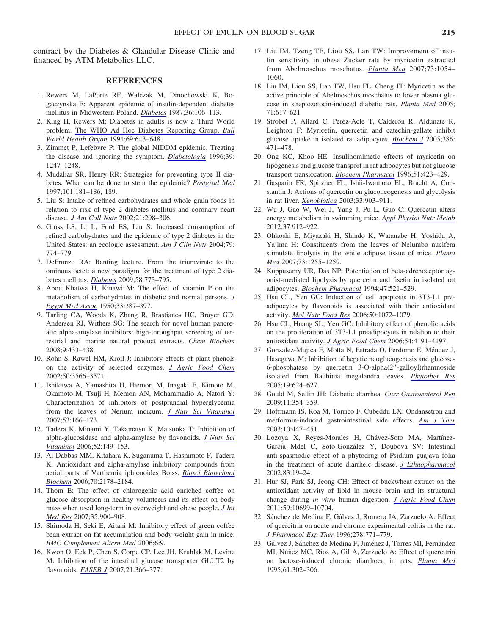contract by the Diabetes & Glandular Disease Clinic and financed by ATM Metabolics LLC.

#### **REFERENCES**

- 1. Rewers M, LaPorte RE, Walczak M, Dmochowski K, Bogaczynska E: Apparent epidemic of insulin-dependent diabetes mellitus in Midwestern Poland. [Diabetes](http://online.liebertpub.com/action/showLinks?pmid=3792661&crossref=10.2337%2Fdiabetes.36.1.106) 1987;36:106–113.
- 2. King H, Rewers M: Diabetes in adults is now a Third World problem. [The WHO Ad Hoc Diabetes Reporting Group.](http://online.liebertpub.com/action/showLinks?pmid=1786615) Bull [World Health Organ](http://online.liebertpub.com/action/showLinks?pmid=1786615) 1991;69:643–648.
- 3. Zimmet P, Lefebvre P: The global NIDDM epidemic. Treating the disease and ignoring the symptom. [Diabetologia](http://online.liebertpub.com/action/showLinks?pmid=8932987&crossref=10.1007%2Fs001250050565) 1996;39: 1247–1248.
- 4. Mudaliar SR, Henry RR: Strategies for preventing type II diabetes. What can be done to stem the epidemic? [Postgrad Med](http://online.liebertpub.com/action/showLinks?pmid=9008696&crossref=10.3810%2Fpgm.1997.01.148) 1997;101:181–186, 189.
- 5. Liu S: Intake of refined carbohydrates and whole grain foods in relation to risk of type 2 diabetes mellitus and coronary heart disease. [J Am Coll Nutr](http://online.liebertpub.com/action/showLinks?pmid=12166526&crossref=10.1016%2FS1072-7515%2801%2901164-4) 2002;21:298–306.
- 6. Gross LS, Li L, Ford ES, Liu S: Increased consumption of refined carbohydrates and the epidemic of type 2 diabetes in the United States: an ecologic assessment. [Am J Clin Nutr](http://online.liebertpub.com/action/showLinks?pmid=15113714) 2004;79: 774–779.
- 7. DeFronzo RA: Banting lecture. From the triumvirate to the ominous octet: a new paradigm for the treatment of type 2 diabetes mellitus. [Diabetes](http://online.liebertpub.com/action/showLinks?pmid=19336687&crossref=10.2337%2Fdb09-9028) 2009;58:773–795.
- 8. Abou Khatwa H, Kinawi M: The effect of vitamin P on the metabolism of carbohydrates in diabetic and normal persons.  $\underline{J}$  $\underline{J}$  $\underline{J}$ [Egypt Med Assoc](http://online.liebertpub.com/action/showLinks?pmid=15429098) 1950;33:387–397.
- 9. Tarling CA, Woods K, Zhang R, Brastianos HC, Brayer GD, Andersen RJ, Withers SG: The search for novel human pancreatic alpha-amylase inhibitors: high-throughput screening of terrestrial and marine natural product extracts. Chem Biochem 2008;9:433–438.
- 10. Rohn S, Rawel HM, Kroll J: Inhibitory effects of plant phenols on the activity of selected enzymes. [J Agric Food Chem](http://online.liebertpub.com/action/showLinks?pmid=12033830&crossref=10.1021%2Fjf011714b) 2002;50:3566–3571.
- 11. Ishikawa A, Yamashita H, Hiemori M, Inagaki E, Kimoto M, Okamoto M, Tsuji H, Memon AN, Mohammadio A, Natori Y: Characterization of inhibitors of postprandial hyperglycemia from the leaves of Nerium indicum. [J Nutr Sci Vitaminol](http://online.liebertpub.com/action/showLinks?pmid=17616005&crossref=10.3177%2Fjnsv.53.166) 2007;53:166–173.
- 12. Tadera K, Minami Y, Takamatsu K, Matsuoka T: Inhibition of alpha-glucosidase and alpha-amylase by flavonoids. [J Nutr Sci](http://online.liebertpub.com/action/showLinks?pmid=16802696&crossref=10.3177%2Fjnsv.52.149) [Vitaminol](http://online.liebertpub.com/action/showLinks?pmid=16802696&crossref=10.3177%2Fjnsv.52.149) 2006;52:149–153.
- 13. Al-Dabbas MM, Kitahara K, Suganuma T, Hashimoto F, Tadera K: Antioxidant and alpha-amylase inhibitory compounds from aerial parts of Varthemia iphionoides Boiss. [Biosci Biotechnol](http://online.liebertpub.com/action/showLinks?pmid=16960381&crossref=10.1271%2Fbbb.60132) [Biochem](http://online.liebertpub.com/action/showLinks?pmid=16960381&crossref=10.1271%2Fbbb.60132) 2006;70:2178–2184.
- 14. Thom E: The effect of chlorogenic acid enriched coffee on glucose absorption in healthy volunteers and its effect on body mass when used long-term in overweight and obese people. [J Int](http://online.liebertpub.com/action/showLinks?pmid=18035001&crossref=10.1177%2F147323000703500620) [Med Res](http://online.liebertpub.com/action/showLinks?pmid=18035001&crossref=10.1177%2F147323000703500620) 2007;35:900–908.
- 15. Shimoda H, Seki E, Aitani M: Inhibitory effect of green coffee bean extract on fat accumulation and body weight gain in mice. [BMC Complement Altern Med](http://online.liebertpub.com/action/showLinks?pmid=16545124&crossref=10.1186%2F1472-6882-6-9) 2006;6:9.
- 16. Kwon O, Eck P, Chen S, Corpe CP, Lee JH, Kruhlak M, Levine M: Inhibition of the intestinal glucose transporter GLUT2 by flavonoids. [FASEB J](http://online.liebertpub.com/action/showLinks?pmid=17172639&crossref=10.1096%2Ffj.06-6620com) 2007;21:366–377.
- 17. Liu IM, Tzeng TF, Liou SS, Lan TW: Improvement of insulin sensitivity in obese Zucker rats by myricetin extracted from Abelmoschus moschatus. [Planta Med](http://online.liebertpub.com/action/showLinks?pmid=17694473&crossref=10.1055%2Fs-2007-981577) 2007;73:1054– 1060.
- 18. Liu IM, Liou SS, Lan TW, Hsu FL, Cheng JT: Myricetin as the active principle of Abelmoschus moschatus to lower plasma glucose in streptozotocin-induced diabetic rats. [Planta Med](http://online.liebertpub.com/action/showLinks?pmid=16041646&crossref=10.1055%2Fs-2005-871266) 2005; 71:617–621.
- 19. Strobel P, Allard C, Perez-Acle T, Calderon R, Aldunate R, Leighton F: Myricetin, quercetin and catechin-gallate inhibit glucose uptake in isolated rat adipocytes. [Biochem J](http://online.liebertpub.com/action/showLinks?pmid=15469417&crossref=10.1042%2FBJ20040703) 2005;386: 471–478.
- 20. Ong KC, Khoo HE: Insulinomimetic effects of myricetin on lipogenesis and glucose transport in rat adipocytes but not glucose transport translocation. [Biochem Pharmacol](http://online.liebertpub.com/action/showLinks?pmid=8619886&crossref=10.1016%2F0006-2952%2895%2902195-7) 1996;51:423–429.
- 21. Gasparin FR, Spitzner FL, Ishii-Iwamoto EL, Bracht A, Constantin J: Actions of quercetin on gluconeogenesis and glycolysis in rat liver. [Xenobiotica](http://online.liebertpub.com/action/showLinks?pmid=14514440&crossref=10.1080%2F0049825031000140878) 2003;33:903–911.
- 22. Wu J, Gao W, Wei J, Yang J, Pu L, Guo C: Quercetin alters energy metabolism in swimming mice. [Appl Physiol Nutr Metab](http://online.liebertpub.com/action/showLinks?pmid=22765761&crossref=10.1139%2Fh2012-064) 2012;37:912–922.
- 23. Ohkoshi E, Miyazaki H, Shindo K, Watanabe H, Yoshida A, Yajima H: Constituents from the leaves of Nelumbo nucifera stimulate lipolysis in the white adipose tissue of mice. [Planta](http://online.liebertpub.com/action/showLinks?pmid=17893829&crossref=10.1055%2Fs-2007-990223) [Med](http://online.liebertpub.com/action/showLinks?pmid=17893829&crossref=10.1055%2Fs-2007-990223) 2007;73:1255–1259.
- 24. Kuppusamy UR, Das NP: Potentiation of beta-adrenoceptor agonist-mediated lipolysis by quercetin and fisetin in isolated rat adipocytes. [Biochem Pharmacol](http://online.liebertpub.com/action/showLinks?pmid=7906943&crossref=10.1016%2F0006-2952%2894%2990184-8) 1994;47:521–529.
- 25. Hsu CL, Yen GC: Induction of cell apoptosis in 3T3-L1 preadipocytes by flavonoids is associated with their antioxidant activity. [Mol Nutr Food Res](http://online.liebertpub.com/action/showLinks?pmid=17039455&crossref=10.1002%2Fmnfr.200600040) 2006;50:1072–1079.
- 26. Hsu CL, Huang SL, Yen GC: Inhibitory effect of phenolic acids on the proliferation of 3T3-L1 preadipocytes in relation to their antioxidant activity. [J Agric Food Chem](http://online.liebertpub.com/action/showLinks?pmid=16756346&crossref=10.1021%2Fjf0609882) 2006;54:4191–4197.
- 27. Gonzalez-Mujica F, Motta N, Estrada O, Perdomo E, Méndez J, Hasegawa M: Inhibition of hepatic neoglucogenesis and glucose-6-phosphatase by quercetin  $3$ -O-alpha $(2''$ -galloyl)rhamnoside isolated from Bauhinia megalandra leaves. [Phytother Res](http://online.liebertpub.com/action/showLinks?pmid=16161025&crossref=10.1002%2Fptr.1704) 2005;19:624–627.
- 28. Gould M, Sellin JH: Diabetic diarrhea. [Curr Gastroenterol Rep](http://online.liebertpub.com/action/showLinks?pmid=19765362&crossref=10.1007%2Fs11894-009-0054-y) 2009;11:354–359.
- 29. Hoffmann IS, Roa M, Torrico F, Cubeddu LX: Ondansetron and metformin-induced gastrointestinal side effects. [Am J Ther](http://online.liebertpub.com/action/showLinks?pmid=14624284&crossref=10.1097%2F00045391-200311000-00012) 2003;10:447–451.
- 30. Lozoya X, Reyes-Morales H, Chávez-Soto MA, Martínez-García Mdel C, Soto-González Y, Doubova SV: Intestinal anti-spasmodic effect of a phytodrug of Psidium guajava folia in the treatment of acute diarrheic disease. [J Ethnopharmacol](http://online.liebertpub.com/action/showLinks?pmid=12413703&crossref=10.1016%2FS0378-8741%2802%2900185-X) 2002;83:19–24.
- 31. Hur SJ, Park SJ, Jeong CH: Effect of buckwheat extract on the antioxidant activity of lipid in mouse brain and its structural change during in vitro human digestion. [J Agric Food Chem](http://online.liebertpub.com/action/showLinks?pmid=21882888&crossref=10.1021%2Fjf202279r) 2011;59:10699–10704.
- 32. Sánchez de Medina F, Gálvez J, Romero JA, Zarzuelo A: Effect of quercitrin on acute and chronic experimental colitis in the rat. [J Pharmacol Exp Ther](http://online.liebertpub.com/action/showLinks?pmid=8768730) 1996;278:771–779.
- 33. Gálvez J, Sánchez de Medina F, Jiménez J, Torres MI, Fernández MI, Núñez MC, Ríos A, Gil A, Zarzuelo A: Effect of quercitrin on lactose-induced chronic diarrhoea in rats. [Planta Med](http://online.liebertpub.com/action/showLinks?pmid=7480174&crossref=10.1055%2Fs-2006-958088) 1995;61:302–306.